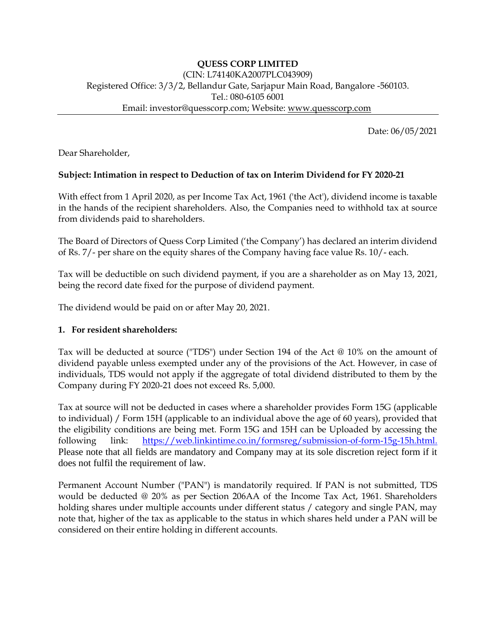Date: 06/05/2021

Dear Shareholder,

## **Subject: Intimation in respect to Deduction of tax on Interim Dividend for FY 2020-21**

With effect from 1 April 2020, as per Income Tax Act, 1961 ('the Act'), dividend income is taxable in the hands of the recipient shareholders. Also, the Companies need to withhold tax at source from dividends paid to shareholders.

The Board of Directors of Quess Corp Limited ('the Company') has declared an interim dividend of Rs. 7/- per share on the equity shares of the Company having face value Rs. 10/- each.

Tax will be deductible on such dividend payment, if you are a shareholder as on May 13, 2021, being the record date fixed for the purpose of dividend payment.

The dividend would be paid on or after May 20, 2021.

### **1. For resident shareholders:**

Tax will be deducted at source ("TDS") under Section 194 of the Act @ 10% on the amount of dividend payable unless exempted under any of the provisions of the Act. However, in case of individuals, TDS would not apply if the aggregate of total dividend distributed to them by the Company during FY 2020-21 does not exceed Rs. 5,000.

Tax at source will not be deducted in cases where a shareholder provides Form 15G (applicable to individual) / Form 15H (applicable to an individual above the age of 60 years), provided that the eligibility conditions are being met. Form 15G and 15H can be Uploaded by accessing the following link: [https://web.linkintime.co.in/formsreg/submission-of-form-15g-15h.html.](https://ind01.safelinks.protection.outlook.com/?url=https%3A%2F%2Fweb.linkintime.co.in%2Fformsreg%2Fsubmission-of-form-15g-15h.html&data=04%7C01%7C%7C816c915a6ab24cd9017a08d90f968cdc%7C7870c4334d9343379aff75a5d0074084%7C0%7C0%7C637557961689184657%7CUnknown%7CTWFpbGZsb3d8eyJWIjoiMC4wLjAwMDAiLCJQIjoiV2luMzIiLCJBTiI6Ik1haWwiLCJXVCI6Mn0%3D%7C1000&sdata=1HX3xullKmqBw3GIeCU5tlmVpGbI6f3GBRGwz8XUTMM%3D&reserved=0) Please note that all fields are mandatory and Company may at its sole discretion reject form if it does not fulfil the requirement of law.

Permanent Account Number ("PAN") is mandatorily required. If PAN is not submitted, TDS would be deducted @ 20% as per Section 206AA of the Income Tax Act, 1961. Shareholders holding shares under multiple accounts under different status / category and single PAN, may note that, higher of the tax as applicable to the status in which shares held under a PAN will be considered on their entire holding in different accounts.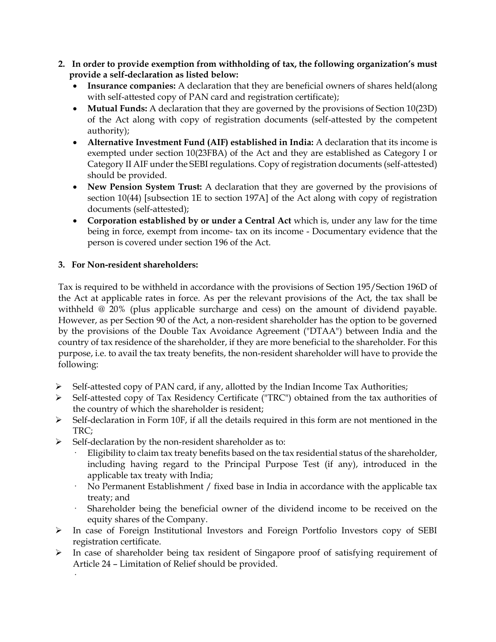- **2. In order to provide exemption from withholding of tax, the following organization's must provide a self-declaration as listed below:**
	- **Insurance companies:** A declaration that they are beneficial owners of shares held(along with self-attested copy of PAN card and registration certificate);
	- **Mutual Funds:** A declaration that they are governed by the provisions of Section 10(23D) of the Act along with copy of registration documents (self-attested by the competent authority);
	- **Alternative Investment Fund (AIF) established in India:** A declaration that its income is exempted under section 10(23FBA) of the Act and they are established as Category I or Category II AIF under the SEBI regulations. Copy of registration documents (self-attested) should be provided.
	- **New Pension System Trust:** A declaration that they are governed by the provisions of section 10(44) [subsection 1E to section 197A] of the Act along with copy of registration documents (self-attested);
	- **Corporation established by or under a Central Act** which is, under any law for the time being in force, exempt from income- tax on its income - Documentary evidence that the person is covered under section 196 of the Act.

## **3. For Non-resident shareholders:**

·

Tax is required to be withheld in accordance with the provisions of Section 195/Section 196D of the Act at applicable rates in force. As per the relevant provisions of the Act, the tax shall be withheld @ 20% (plus applicable surcharge and cess) on the amount of dividend payable. However, as per Section 90 of the Act, a non-resident shareholder has the option to be governed by the provisions of the Double Tax Avoidance Agreement ("DTAA") between India and the country of tax residence of the shareholder, if they are more beneficial to the shareholder. For this purpose, i.e. to avail the tax treaty benefits, the non-resident shareholder will have to provide the following:

- Self-attested copy of PAN card, if any, allotted by the Indian Income Tax Authorities;
- Self-attested copy of Tax Residency Certificate ("TRC") obtained from the tax authorities of the country of which the shareholder is resident;
- Self-declaration in Form 10F, if all the details required in this form are not mentioned in the TRC;
- $\triangleright$  Self-declaration by the non-resident shareholder as to:
	- Eligibility to claim tax treaty benefits based on the tax residential status of the shareholder, including having regard to the Principal Purpose Test (if any), introduced in the applicable tax treaty with India;
	- No Permanent Establishment / fixed base in India in accordance with the applicable tax treaty; and
	- Shareholder being the beneficial owner of the dividend income to be received on the equity shares of the Company.
- In case of Foreign Institutional Investors and Foreign Portfolio Investors copy of SEBI registration certificate.
- $\triangleright$  In case of shareholder being tax resident of Singapore proof of satisfying requirement of Article 24 – Limitation of Relief should be provided.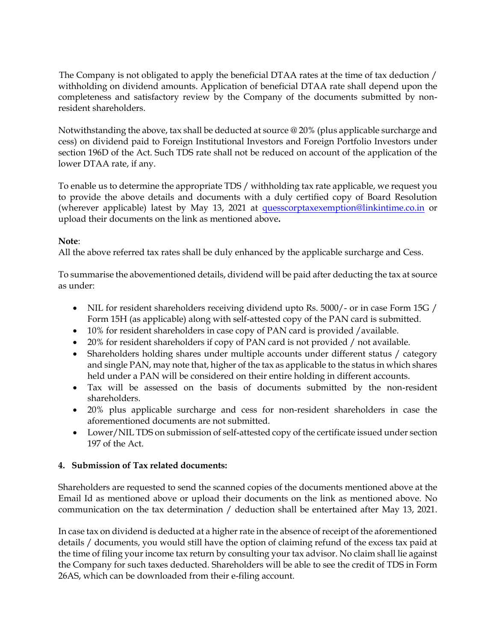The Company is not obligated to apply the beneficial DTAA rates at the time of tax deduction / withholding on dividend amounts. Application of beneficial DTAA rate shall depend upon the completeness and satisfactory review by the Company of the documents submitted by nonresident shareholders.

Notwithstanding the above, tax shall be deducted at source @ 20% (plus applicable surcharge and cess) on dividend paid to Foreign Institutional Investors and Foreign Portfolio Investors under section 196D of the Act. Such TDS rate shall not be reduced on account of the application of the lower DTAA rate, if any.

To enable us to determine the appropriate TDS / withholding tax rate applicable, we request you to provide the above details and documents with a duly certified copy of Board Resolution (wherever applicable) latest by May 13, 2021 at [quesscorptaxexemption@linkintime.co.in](mailto:quesscorptaxexemption@linkintime.co.in) or upload their documents on the link as mentioned above**.**

## **Note**:

All the above referred tax rates shall be duly enhanced by the applicable surcharge and Cess.

To summarise the abovementioned details, dividend will be paid after deducting the tax at source as under:

- NIL for resident shareholders receiving dividend upto Rs. 5000/- or in case Form 15G / Form 15H (as applicable) along with self-attested copy of the PAN card is submitted.
- 10% for resident shareholders in case copy of PAN card is provided /available.
- 20% for resident shareholders if copy of PAN card is not provided / not available.
- Shareholders holding shares under multiple accounts under different status / category and single PAN, may note that, higher of the tax as applicable to the status in which shares held under a PAN will be considered on their entire holding in different accounts.
- Tax will be assessed on the basis of documents submitted by the non-resident shareholders.
- 20% plus applicable surcharge and cess for non-resident shareholders in case the aforementioned documents are not submitted.
- Lower/NIL TDS on submission of self-attested copy of the certificate issued under section 197 of the Act.

## **4. Submission of Tax related documents:**

Shareholders are requested to send the scanned copies of the documents mentioned above at the Email Id as mentioned above or upload their documents on the link as mentioned above. No communication on the tax determination / deduction shall be entertained after May 13, 2021.

In case tax on dividend is deducted at a higher rate in the absence of receipt of the aforementioned details / documents, you would still have the option of claiming refund of the excess tax paid at the time of filing your income tax return by consulting your tax advisor. No claim shall lie against the Company for such taxes deducted. Shareholders will be able to see the credit of TDS in Form 26AS, which can be downloaded from their e-filing account.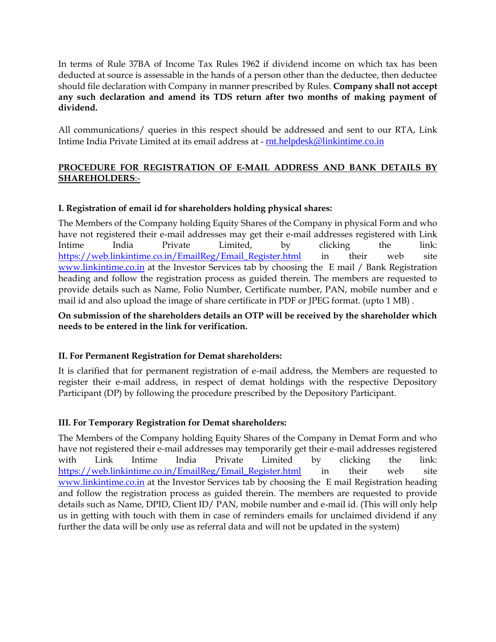In terms of Rule 37BA of Income Tax Rules 1962 if dividend income on which tax has been deducted at source is assessable in the hands of a person other than the deductee, then deductee should file declaration with Company in manner prescribed by Rules. **Company shall not accept any such declaration and amend its TDS return after two months of making payment of dividend.** 

All communications/ queries in this respect should be addressed and sent to our RTA, Link Intime India Private Limited at its email address at - [rnt.helpdesk@linkintime.co.in](mailto:rnt.helpdesk@linkintime.co.in)

# **PROCEDURE FOR REGISTRATION OF E-MAIL ADDRESS AND BANK DETAILS BY SHAREHOLDERS**:-

## **I. Registration of email id for shareholders holding physical shares:**

The Members of the Company holding Equity Shares of the Company in physical Form and who have not registered their e-mail addresses may get their e-mail addresses registered with Link Intime India Private Limited, by clicking the link: [https://web.linkintime.co.in/EmailReg/Email\\_Register.html](https://web.linkintime.co.in/EmailReg/Email_Register.html) in their web site [www.linkintime.co.in](http://www.linkintime.co.in/) at the Investor Services tab by choosing the E mail / Bank Registration heading and follow the registration process as guided therein. The members are requested to provide details such as Name, Folio Number, Certificate number, PAN, mobile number and e mail id and also upload the image of share certificate in PDF or JPEG format. (upto 1 MB) .

### **On submission of the shareholders details an OTP will be received by the shareholder which needs to be entered in the link for verification.**

### **II. For Permanent Registration for Demat shareholders:**

It is clarified that for permanent registration of e-mail address, the Members are requested to register their e-mail address, in respect of demat holdings with the respective Depository Participant (DP) by following the procedure prescribed by the Depository Participant.

### **III. For Temporary Registration for Demat shareholders:**

The Members of the Company holding Equity Shares of the Company in Demat Form and who have not registered their e-mail addresses may temporarily get their e-mail addresses registered with Link Intime India Private Limited by clicking the link: [https://web.linkintime.co.in/EmailReg/Email\\_Register.html](https://web.linkintime.co.in/EmailReg/Email_Register.html) in their web site [www.linkintime.co.in](http://www.linkintime.co.in/) at the Investor Services tab by choosing the E mail Registration heading and follow the registration process as guided therein. The members are requested to provide details such as Name, DPID, Client ID/ PAN, mobile number and e-mail id. (This will only help us in getting with touch with them in case of reminders emails for unclaimed dividend if any further the data will be only use as referral data and will not be updated in the system)